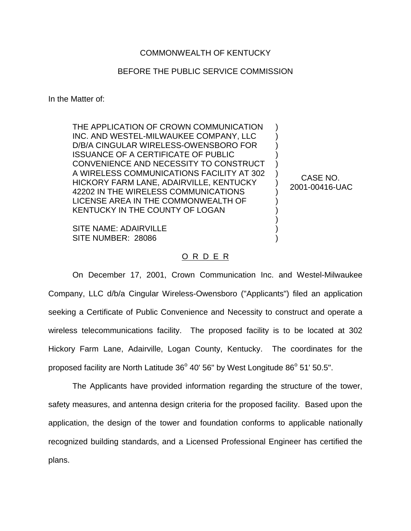## COMMONWEALTH OF KENTUCKY

## BEFORE THE PUBLIC SERVICE COMMISSION

In the Matter of:

THE APPLICATION OF CROWN COMMUNICATION INC. AND WESTEL-MILWAUKEE COMPANY, LLC D/B/A CINGULAR WIRELESS-OWENSBORO FOR ISSUANCE OF A CERTIFICATE OF PUBLIC CONVENIENCE AND NECESSITY TO CONSTRUCT A WIRELESS COMMUNICATIONS FACILITY AT 302 HICKORY FARM LANE, ADAIRVILLE, KENTUCKY 42202 IN THE WIRELESS COMMUNICATIONS LICENSE AREA IN THE COMMONWEALTH OF KENTUCKY IN THE COUNTY OF LOGAN

SITE NAME: ADAIRVILLE SITE NUMBER: 28086

## O R D E R

On December 17, 2001, Crown Communication Inc. and Westel-Milwaukee Company, LLC d/b/a Cingular Wireless-Owensboro ("Applicants") filed an application seeking a Certificate of Public Convenience and Necessity to construct and operate a wireless telecommunications facility. The proposed facility is to be located at 302 Hickory Farm Lane, Adairville, Logan County, Kentucky. The coordinates for the proposed facility are North Latitude  $36^{\circ}$  40' 56" by West Longitude  $86^{\circ}$  51' 50.5".

The Applicants have provided information regarding the structure of the tower, safety measures, and antenna design criteria for the proposed facility. Based upon the application, the design of the tower and foundation conforms to applicable nationally recognized building standards, and a Licensed Professional Engineer has certified the plans.

CASE NO. 2001-00416-UAC

) ) ) ) ) ) ) ) ) ) ) ) )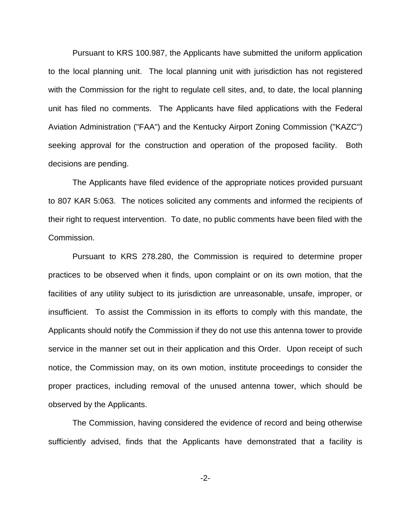Pursuant to KRS 100.987, the Applicants have submitted the uniform application to the local planning unit. The local planning unit with jurisdiction has not registered with the Commission for the right to regulate cell sites, and, to date, the local planning unit has filed no comments. The Applicants have filed applications with the Federal Aviation Administration ("FAA") and the Kentucky Airport Zoning Commission ("KAZC") seeking approval for the construction and operation of the proposed facility. Both decisions are pending.

The Applicants have filed evidence of the appropriate notices provided pursuant to 807 KAR 5:063. The notices solicited any comments and informed the recipients of their right to request intervention. To date, no public comments have been filed with the Commission.

Pursuant to KRS 278.280, the Commission is required to determine proper practices to be observed when it finds, upon complaint or on its own motion, that the facilities of any utility subject to its jurisdiction are unreasonable, unsafe, improper, or insufficient. To assist the Commission in its efforts to comply with this mandate, the Applicants should notify the Commission if they do not use this antenna tower to provide service in the manner set out in their application and this Order. Upon receipt of such notice, the Commission may, on its own motion, institute proceedings to consider the proper practices, including removal of the unused antenna tower, which should be observed by the Applicants.

The Commission, having considered the evidence of record and being otherwise sufficiently advised, finds that the Applicants have demonstrated that a facility is

-2-